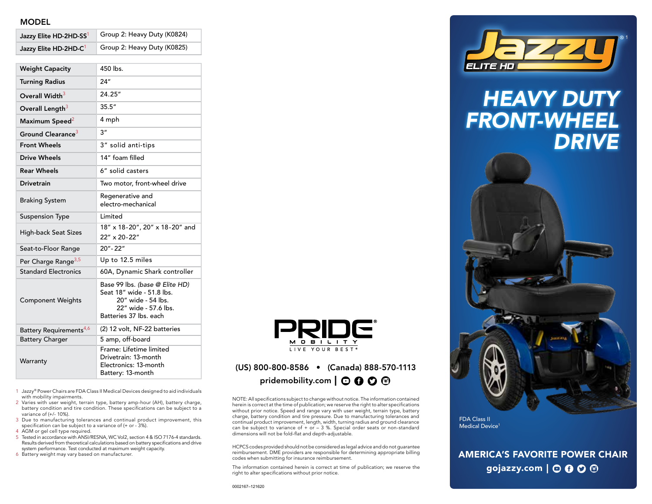#### MODEL

| Jazzy Elite HD-2HD-SS1              | Group 2: Heavy Duty (K0824)                                                                                                         |
|-------------------------------------|-------------------------------------------------------------------------------------------------------------------------------------|
| Jazzy Elite HD-2HD-C <sup>1</sup>   | Group 2: Heavy Duty (K0825)                                                                                                         |
| <b>Weight Capacity</b>              | 450 lbs.                                                                                                                            |
| <b>Turning Radius</b>               | 24"                                                                                                                                 |
| Overall Width <sup>3</sup>          | 24.25"                                                                                                                              |
| Overall Length <sup>3</sup>         | 35.5''                                                                                                                              |
| Maximum Speed <sup>2</sup>          | 4 mph                                                                                                                               |
| Ground Clearance <sup>3</sup>       | 3"                                                                                                                                  |
| <b>Front Wheels</b>                 | 3" solid anti-tips                                                                                                                  |
| <b>Drive Wheels</b>                 | 14" foam filled                                                                                                                     |
| <b>Rear Wheels</b>                  | 6" solid casters                                                                                                                    |
| <b>Drivetrain</b>                   | Two motor, front-wheel drive                                                                                                        |
| <b>Braking System</b>               | Regenerative and<br>electro-mechanical                                                                                              |
| <b>Suspension Type</b>              | Limited                                                                                                                             |
| <b>High-back Seat Sizes</b>         | 18" x 18-20", 20" x 18-20" and<br>22" x 20-22"                                                                                      |
| Seat-to-Floor Range                 | 20" - 22"                                                                                                                           |
| Per Charge Range <sup>3,5</sup>     | Up to 12.5 miles                                                                                                                    |
| <b>Standard Electronics</b>         | 60A, Dynamic Shark controller                                                                                                       |
| <b>Component Weights</b>            | Base 99 lbs. (base @ Elite HD)<br>Seat 18" wide - 51.8 lbs.<br>20" wide - 54 lbs.<br>22" wide - 57.6 lbs.<br>Batteries 37 lbs. each |
| Battery Requirements <sup>4,6</sup> | (2) 12 volt, NF-22 batteries                                                                                                        |
| <b>Battery Charger</b>              | 5 amp, off-board                                                                                                                    |
| Warranty                            | Frame: Lifetime limited<br>Drivetrain: 13-month<br>Electronics: 13-month<br>Battery: 13-month                                       |

1 Jazzy® Power Chairs are FDA Class II Medical Devices designed to aid individuals with mobility impairments.

- 2 Varies with user weight, terrain type, battery amp-hour (AH), battery charge, battery condition and tire condition. These specifications can be subject to a variance of (+/- 10%).
- 3 Due to manufacturing tolerances and continual product improvement, this specification can be subject to a variance of (+ or - 3%).
- 4 AGM or gel cell type required.
- 5 Tested in accordance with ANSI/RESNA, WC Vol2, section 4 & ISO 7176-4 standards. Results derived from theoretical calculations based on battery specifications and drive system performance. Test conducted at maximum weight capacity.
- 6 Battery weight may vary based on manufacturer.



## (US) 800-800-8586 • (Canada) 888-570-1113 pridemobility.com  $\mathbf{\odot} \mathbf{\odot} \mathbf{\odot} \mathbf{\odot}$

NOTE: All specifications subject to change without notice. The information contained herein is correct at the time of publication; we reserve the right to alter specifications without prior notice. Speed and range vary with user weight, terrain type, battery charge, battery condition and tire pressure. Due to manufacturing tolerances and continual product improvement, length, width, turning radius and ground clearance can be subject to variance of  $+$  or  $-$  3 %. Special order seats or non-standard dimensions will not be fold-flat and depth-adjustable.

HCPCS codes provided should not be considered as legal advice and do not guarantee reimbursement. DME providers are responsible for determining appropriate billing codes when submitting for insurance reimbursement.

The information contained herein is correct at time of publication; we reserve the right to alter specifications without prior notice.



# *HEAVY DUTY FRONT-WHEEL DRIVE*



FDA Class II Medical Device<sup>1</sup>

## AMERICA'S FAVORITE POWER CHAIR gojazzy.com  $\vert \odot \mathbf{O} \odot \mathbf{O} \vert$